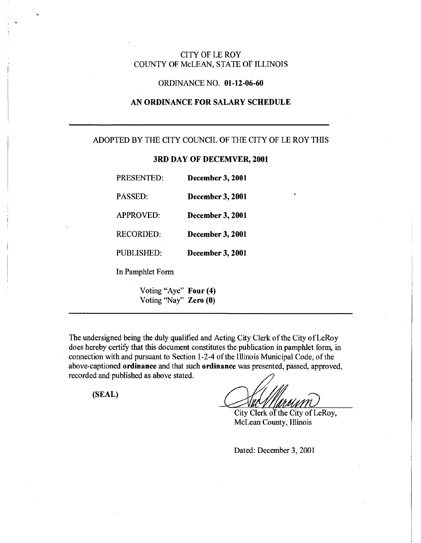## CITY OF LE ROY COUNTY OF McLEAN, STATE OF ILLINOIS

## ORDINANCE NO. **01-** 12**-06-60**

# **AN ORDINANCE FOR SALARY SCHEDULE**

### ADOPTED BY THE CITY COUNCIL OF THE CITY OF LE ROY THIS

## **3RD DAY OF DECEMVER, 2001**

| PRESENTED:            | <b>December 3, 2001</b> |
|-----------------------|-------------------------|
| <b>PASSED:</b>        | <b>December 3, 2001</b> |
| <b>APPROVED:</b>      | <b>December 3, 2001</b> |
| <b>RECORDED:</b>      | <b>December 3, 2001</b> |
| PUBLISHED:            | <b>December 3, 2001</b> |
| In Pamphlet Form      |                         |
| Voting "Aye" Four (4) |                         |

Voting "Nay" **Zero (0)** 

The undersigned being the duly qualified and Acting City Clerk of the City of LeRoy does hereby certify that this document constitutes the publication in pamphlet form, in connection with and pursuant to Section 1-2-4 of the Illinois Municipal Code, of the above-captioned **ordinance** and that such **ordinance** was presented, passed, approved, recorded and published as above stated.

**(SEAL)** 

City Clerk of the City of LeRoy, McLean County, Illinois

Dated: December 3, 2001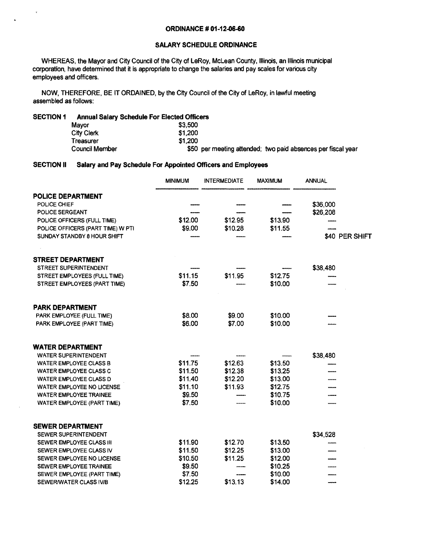#### **ORDINANCE # 01-12-06-60**

### **SALARY SCHEDULE ORDINANCE**

WHEREAS, the Mayor and City Council of the City of LeRoy, McLean County, Illinois, an Illinois municipal corporation, have determined that it is appropriate to change the salaries and pay scales for various city employees and officers.

NOW, THEREFORE, BE IT ORDAINED, by the City Council of the City of LeRoy, in lawful meeting assembled as follows:

#### **SECTION 1 Annual Salary Schedule For Elected Officers**

 $\mathbf{v}$ 

 $\ddot{\phantom{0}}$ 

| Mavor             | \$3,500                                                      |
|-------------------|--------------------------------------------------------------|
| <b>City Clerk</b> | \$1,200                                                      |
| Treasurer         | \$1,200                                                      |
| Council Member    | \$50 per meeting attended; two paid absences per fiscal year |

#### **SECTION II Salary and Pay Schedule For Appointed Officers and Employees**

|                                   | <b>MINIMUM</b> | <b>INTERMEDIATE</b> | <b>MAXIMUM</b> | <b>ANNUAL</b> |                |
|-----------------------------------|----------------|---------------------|----------------|---------------|----------------|
| POLICE DEPARTMENT                 |                |                     |                |               |                |
| POLICE CHIEF                      |                |                     |                | \$36,000      |                |
| POLICE SERGEANT                   |                |                     |                | \$26,208      |                |
| POLICE OFFICERS (FULL TIME)       | \$12.00        | \$12.95             | \$13.90        |               |                |
| POLICE OFFICERS (PART TIME) W PTI | \$9.00         | \$10.28             | \$11.55        |               |                |
| SUNDAY STANDBY 8 HOUR SHIFT       |                |                     |                |               | \$40 PER SHIFT |
| <b>STREET DEPARTMENT</b>          |                |                     |                |               |                |
| <b>STREET SUPERINTENDENT</b>      |                |                     |                | \$38,480      |                |
| STREET EMPLOYEES (FULL TIME)      | \$11.15        | \$11.95             | \$12.75        |               |                |
| STREET EMPLOYEES (PART TIME)      | \$7.50         |                     | \$10.00        |               |                |
| <b>PARK DEPARTMENT</b>            |                |                     |                |               |                |
| PARK EMPLOYEE (FULL TIME)         | \$8.00         | \$9.00              | \$10.00        |               |                |
| PARK EMPLOYEE (PART TIME)         | \$6.00         | \$7.00              | \$10.00        |               |                |
| <b>WATER DEPARTMENT</b>           |                |                     |                |               |                |
| <b>WATER SUPERINTENDENT</b>       |                |                     |                | \$38,480      |                |
| <b>WATER EMPLOYEE CLASS B</b>     | \$11.75        | \$12.63             | \$13.50        |               |                |
| WATER EMPLOYEE CLASS C            | \$11.50        | \$12.38             | \$13.25        |               |                |
| WATER EMPLOYEE CLASS D            | \$11.40        | \$12.20             | \$13.00        |               |                |
| WATER EMPLOYEE NO LICENSE         | \$11.10        | \$11.93             | \$12.75        |               |                |
| <b>WATER EMPLOYEE TRAINEE</b>     | \$9.50         |                     | \$10.75        |               |                |
| WATER EMPLOYEE (PART TIME)        | \$7.50         |                     | \$10.00        |               |                |
| <b>SEWER DEPARTMENT</b>           |                |                     |                |               |                |
| SEWER SUPERINTENDENT              |                |                     |                | \$34,528      |                |
| SEWER EMPLOYEE CLASS III          | \$11.90        | \$12.70             | \$13.50        |               |                |
| SEWER EMPLOYEE CLASS IV           | \$11.50        | \$12.25             | \$13.00        |               |                |
| SEWER EMPLOYEE NO LICENSE         | \$10.50        | \$11.25             | \$12.00        |               |                |
| SEWER EMPLOYEE TRAINEE            | \$9.50         |                     | \$10.25        |               |                |
| SEWER EMPLOYEE (PART TIME)        | \$7.50         |                     | \$10.00        |               |                |
| SEWER/WATER CLASS IV/B            | \$12.25        | \$13.13             | \$14.00        |               |                |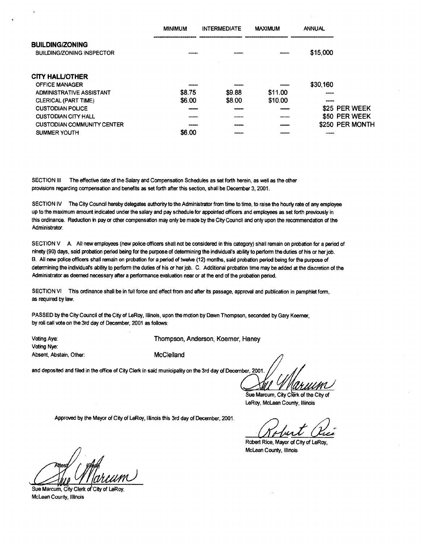|                                                            | <b>MINIMUM</b> | <b>INTERMEDIATE</b> | <b>MAXIMUM</b> | <b>ANNUAL</b>     |                 |
|------------------------------------------------------------|----------------|---------------------|----------------|-------------------|-----------------|
| <b>BUILDING/ZONING</b><br><b>BUILDING/ZONING INSPECTOR</b> |                |                     |                | \$15,000          |                 |
| <b>CITY HALL/OTHER</b>                                     |                |                     |                |                   |                 |
| <b>OFFICE MANAGER</b>                                      |                |                     |                | \$30,160          |                 |
| ADMINISTRATIVE ASSISTANT                                   | \$8.75         | \$9.88              | \$11.00        |                   |                 |
| CLERICAL (PART TIME)                                       | \$6.00         | \$8.00              | \$10.00        |                   |                 |
| <b>CUSTODIAN POLICE</b>                                    |                |                     |                |                   | \$25 PER WEEK   |
| <b>CUSTODIAN CITY HALL</b>                                 |                |                     |                |                   | \$50 PER WEEK   |
| <b>CUSTODIAN COMMUNITY CENTER</b>                          |                |                     |                |                   | \$250 PER MONTH |
| SUMMER YOUTH                                               | \$6.00         |                     |                | <b>CONTRACTOR</b> |                 |

SECTION III The effective date of the Salary and Compensation Schedules as set forth herein, as well as the other provisions regarding compensation and benefits as set forth after this section, shall be December 3, 2001.

SECTION IV The City Council hereby delegates authority to the Administrator from time to time, to raise the hourly rate of any employee up to the maximum amount indicated under the salary and pay schedule for appointed officers and employees as set forth previously in this ordinance. Reduction in pay or other compensation may only be made by the City Council and only upon the recommendation of the Administrator.

SECTION V A. All new employees (new police officers shall not be considered in this category) shall remain on probation for a period of ninety (90) days, said probation period being for the purpose of determining the individual's ability to perform the duties of his or her job. B. All new police officers shall remain on probation for a period of twelve (12) months, said probation period being for the purpose of determining the individual's ability to perform the duties of his or her job. C. Additional probation time may be added at the discretion of the Administrator as deemed necessary after a performance evaluation near or at the end of the probation period.

SECTION VI This ordinance shall be in full force and effect from and after its passage, approval and publication in pamphlet form, as required by law.

PASSED by the City Council of the City of LeRoy, Illinois, upon the motion by Dawn Thompson, seconded by Gary Koerner, by roll call vote on the 3rd day of December, 2001 as follows:

Voting Nye: Absent, Abstain, Other: McClelland

Voting Aye: Thompson, Anderson, Koerner, Haney

and deposited and filed in the office of City Clerk in said municipality on the 3rd day of December, 2001.

Sue Marcum, City Clerk of the City of LeRoy, McLean County, Illinois

Approved by the Mayor of City of LeRoy, Illinois this 3rd day of December, 2001.

**ILLE Clue T**<br>Robert Rice, Mayor of City of LeRoy,

McLean County, Illinois

es

Sue Marcum, City Clerk of City of LeRoy, McLean County, Illinois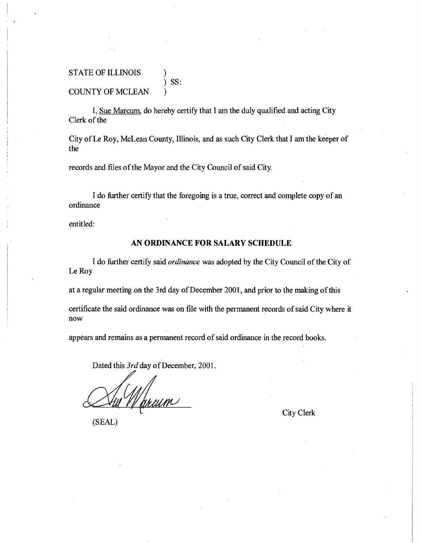## STATE OF ILLINOIS ) ) SS: COUNTY OF MCLEAN )

I, Sue Marcum, do hereby certify that I am the duly qualified and acting City Clerk of the

City of Le Roy, McLean County, Illinois, and as such City Clerk that I am the keeper of the

records and files of the Mayor and the City Council of said City.

I do further certify that the foregoing is a true, correct and complete copy of an ordinance

entitled:

### **AN ORDINANCE FOR SALARY SCHEDULE**

I do further certify said *ordinance was* adopted by the City Council of the City of Le Roy

at a regular meeting on the 3rd day of December 2001, and prior to the making of this

certificate the said ordinance was on file with the permanent records of said City where it now

appears and remains as a permanent record of said ordinance in the record books.

Dated this *3rd* day of December, 2001.

11/1<br>Marcum

(SEAL)

City Clerk